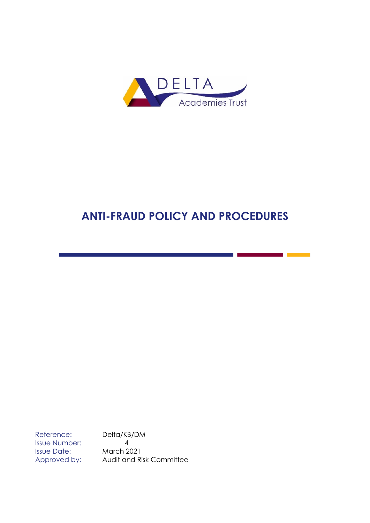

# **ANTI-FRAUD POLICY AND PROCEDURES**

 $\mathcal{L}_{\mathcal{A}}$  and  $\mathcal{L}_{\mathcal{A}}$  are the set of the set of  $\mathcal{L}_{\mathcal{A}}$ 

Issue Number: 4 Issue Date: March 2021

Reference: Delta/KB/DM Approved by: Audit and Risk Committee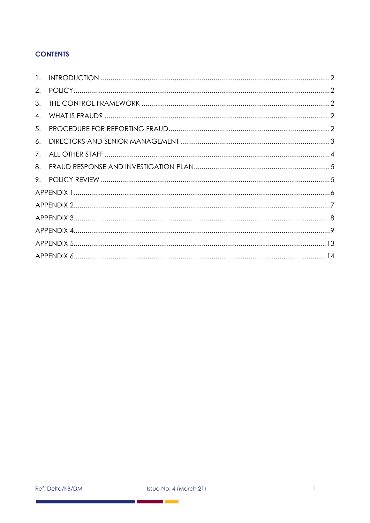# **CONTENTS**

| 2.             |  |  |
|----------------|--|--|
| 3.             |  |  |
| $\mathbf{4}$ . |  |  |
| 5.             |  |  |
| 6.             |  |  |
| 7.             |  |  |
| 8.             |  |  |
|                |  |  |
|                |  |  |
|                |  |  |
|                |  |  |
|                |  |  |
|                |  |  |
|                |  |  |

and the company of the company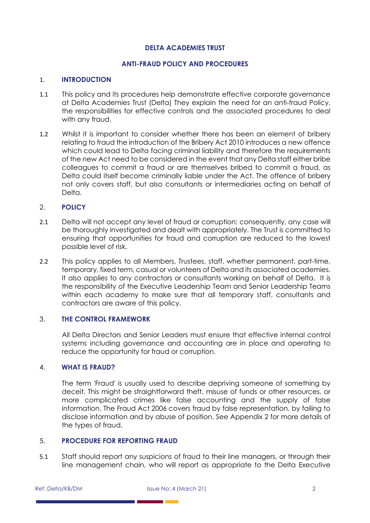# **DELTA ACADEMIES TRUST**

# **ANTI-FRAUD POLICY AND PROCEDURES**

#### <span id="page-2-0"></span>1. **INTRODUCTION**

- 1.1 This policy and its procedures help demonstrate effective corporate governance at Delta Academies Trust (Delta) They explain the need for an anti-fraud Policy, the responsibilities for effective controls and the associated procedures to deal with any fraud.
- 1.2 Whilst it is important to consider whether there has been an element of bribery relating to fraud the introduction of the Bribery Act 2010 introduces a new offence which could lead to Delta facing criminal liability and therefore the requirements of the new Act need to be considered in the event that any Delta staff either bribe colleagues to commit a fraud or are themselves bribed to commit a fraud, as Delta could itself become criminally liable under the Act. The offence of bribery not only covers staff, but also consultants or intermediaries acting on behalf of Delta.

# <span id="page-2-1"></span>2. **POLICY**

- 2.1 Delta will not accept any level of fraud or corruption; consequently, any case will be thoroughly investigated and dealt with appropriately. The Trust is committed to ensuring that opportunities for fraud and corruption are reduced to the lowest possible level of risk.
- 2.2 This policy applies to all Members, Trustees, staff, whether permanent, part-time, temporary, fixed term, casual or volunteers of Delta and its associated academies. It also applies to any contractors or consultants working on behalf of Delta. It is the responsibility of the Executive Leadership Team and Senior Leadership Teams within each academy to make sure that all temporary staff, consultants and contractors are aware of this policy.

# <span id="page-2-2"></span>3. **THE CONTROL FRAMEWORK**

All Delta Directors and Senior Leaders must ensure that effective internal control systems including governance and accounting are in place and operating to reduce the opportunity for fraud or corruption.

# <span id="page-2-3"></span>4. **WHAT IS FRAUD?**

The term 'Fraud' is usually used to describe depriving someone of something by deceit. This might be straightforward theft, misuse of funds or other resources, or more complicated crimes like false accounting and the supply of false information. The Fraud Act 2006 covers fraud by false representation, by failing to disclose information and by abuse of position. See Appendix 2 for more details of the types of fraud.

# <span id="page-2-4"></span>5. **PROCEDURE FOR REPORTING FRAUD**

5.1 Staff should report any suspicions of fraud to their line managers, or through their line management chain, who will report as appropriate to the Delta Executive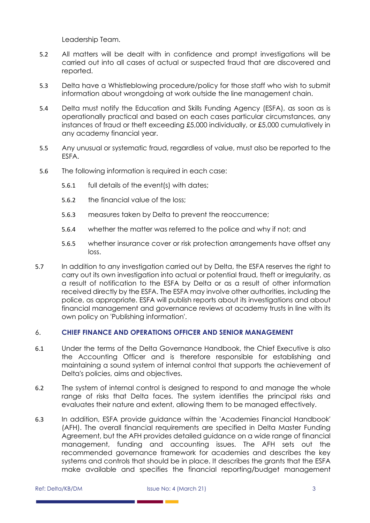Leadership Team.

- 5.2 All matters will be dealt with in confidence and prompt investigations will be carried out into all cases of actual or suspected fraud that are discovered and reported.
- 5.3 Delta have a Whistleblowing procedure/policy for those staff who wish to submit information about wrongdoing at work outside the line management chain.
- 5.4 Delta must notify the Education and Skills Funding Agency (ESFA), as soon as is operationally practical and based on each cases particular circumstances, any instances of fraud or theft exceeding £5,000 individually, or £5,000 cumulatively in any academy financial year.
- 5.5 Any unusual or systematic fraud, regardless of value, must also be reported to the ESFA.
- 5.6 The following information is required in each case:
	- 5.6.1 full details of the event(s) with dates;
	- 5.6.2 the financial value of the loss;
	- 5.6.3 measures taken by Delta to prevent the reoccurrence;
	- 5.6.4 whether the matter was referred to the police and why if not; and
	- 5.6.5 whether insurance cover or risk protection arrangements have offset any loss.
- 5.7 In addition to any investigation carried out by Delta, the ESFA reserves the right to carry out its own investigation into actual or potential fraud, theft or irregularity, as a result of notification to the ESFA by Delta or as a result of other information received directly by the ESFA. The ESFA may involve other authorities, including the police, as appropriate. ESFA will publish reports about its investigations and about financial management and governance reviews at academy trusts in line with its own policy on 'Publishing information'.

# <span id="page-3-0"></span>6. **CHIEF FINANCE AND OPERATIONS OFFICER AND SENIOR MANAGEMENT**

- 6.1 Under the terms of the Delta Governance Handbook, the Chief Executive is also the Accounting Officer and is therefore responsible for establishing and maintaining a sound system of internal control that supports the achievement of Delta's policies, aims and objectives.
- 6.2 The system of internal control is designed to respond to and manage the whole range of risks that Delta faces. The system identifies the principal risks and evaluates their nature and extent, allowing them to be managed effectively.
- 6.3 In addition, ESFA provide guidance within the 'Academies Financial Handbook' (AFH). The overall financial requirements are specified in Delta Master Funding Agreement, but the AFH provides detailed guidance on a wide range of financial management, funding and accounting issues. The AFH sets out the recommended governance framework for academies and describes the key systems and controls that should be in place. It describes the grants that the ESFA make available and specifies the financial reporting/budget management

**COLLEGE**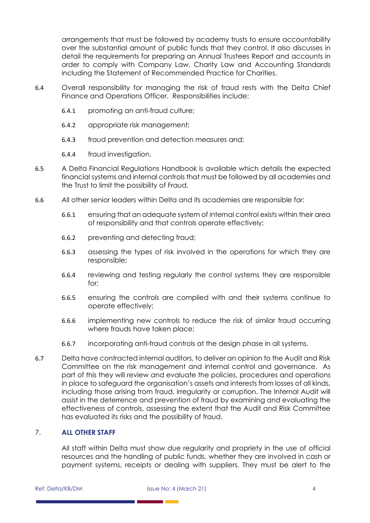arrangements that must be followed by academy trusts to ensure accountability over the substantial amount of public funds that they control. It also discusses in detail the requirements for preparing an Annual Trustees Report and accounts in order to comply with Company Law, Charity Law and Accounting Standards including the Statement of Recommended Practice for Charities.

- 6.4 Overall responsibility for managing the risk of fraud rests with the Delta Chief Finance and Operations Officer. Responsibilities include:
	- 6.4.1 promoting an anti-fraud culture;
	- 6.4.2 appropriate risk management;
	- 6.4.3 fraud prevention and detection measures and;
	- 6.4.4 fraud investigation.
- 6.5 A Delta Financial Regulations Handbook is available which details the expected financial systems and internal controls that must be followed by all academies and the Trust to limit the possibility of Fraud.
- 6.6 All other senior leaders within Delta and its academies are responsible for:
	- 6.6.1 ensuring that an adequate system of internal control exists within their area of responsibility and that controls operate effectively;
	- 6.6.2 preventing and detecting fraud;
	- 6.6.3 assessing the types of risk involved in the operations for which they are responsible;
	- 6.6.4 reviewing and testing regularly the control systems they are responsible for;
	- 6.6.5 ensuring the controls are complied with and their systems continue to operate effectively;
	- 6.6.6 implementing new controls to reduce the risk of similar fraud occurring where frauds have taken place;
	- 6.6.7 incorporating anti-fraud controls at the design phase in all systems.
- 6.7 Delta have contracted internal auditors, to deliver an opinion to the Audit and Risk Committee on the risk management and internal control and governance. As part of this they will review and evaluate the policies, procedures and operations in place to safeguard the organisation's assets and interests from losses of all kinds, including those arising from fraud, irregularity or corruption. The Internal Audit will assist in the deterrence and prevention of fraud by examining and evaluating the effectiveness of controls, assessing the extent that the Audit and Risk Committee has evaluated its risks and the possibility of fraud.

# <span id="page-4-0"></span>7. **ALL OTHER STAFF**

All staff within Delta must show due regularity and propriety in the use of official resources and the handling of public funds, whether they are involved in cash or payment systems, receipts or dealing with suppliers. They must be alert to the

Ref: Delta/KB/DM Issue No: 4 (March 21) 4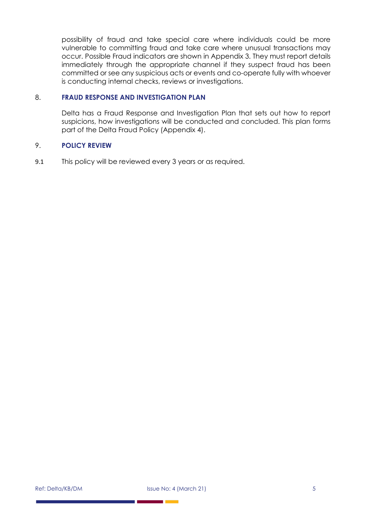possibility of fraud and take special care where individuals could be more vulnerable to committing fraud and take care where unusual transactions may occur. Possible Fraud indicators are shown in Appendix 3. They must report details immediately through the appropriate channel if they suspect fraud has been committed or see any suspicious acts or events and co-operate fully with whoever is conducting internal checks, reviews or investigations.

# <span id="page-5-0"></span>8. **FRAUD RESPONSE AND INVESTIGATION PLAN**

Delta has a Fraud Response and Investigation Plan that sets out how to report suspicions, how investigations will be conducted and concluded. This plan forms part of the Delta Fraud Policy (Appendix 4).

# <span id="page-5-1"></span>9. **POLICY REVIEW**

9.1 This policy will be reviewed every 3 years or as required.

a s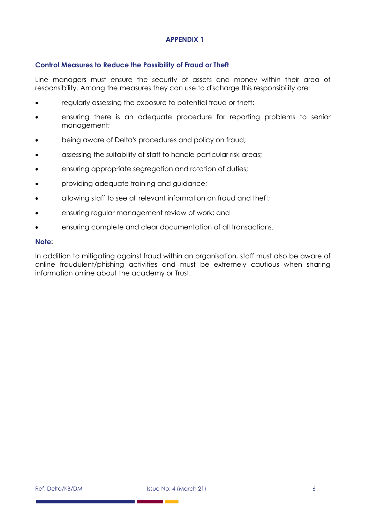# <span id="page-6-0"></span>**Control Measures to Reduce the Possibility of Fraud or Theft**

Line managers must ensure the security of assets and money within their area of responsibility. Among the measures they can use to discharge this responsibility are:

- regularly assessing the exposure to potential fraud or theft;
- ensuring there is an adequate procedure for reporting problems to senior management;
- being aware of Delta's procedures and policy on fraud;
- assessing the suitability of staff to handle particular risk areas;
- ensuring appropriate segregation and rotation of duties;
- providing adequate training and guidance;
- allowing staff to see all relevant information on fraud and theft;
- ensuring regular management review of work; and
- ensuring complete and clear documentation of all transactions.

# **Note:**

In addition to mitigating against fraud within an organisation, staff must also be aware of online fraudulent/phishing activities and must be extremely cautious when sharing information online about the academy or Trust.

a ka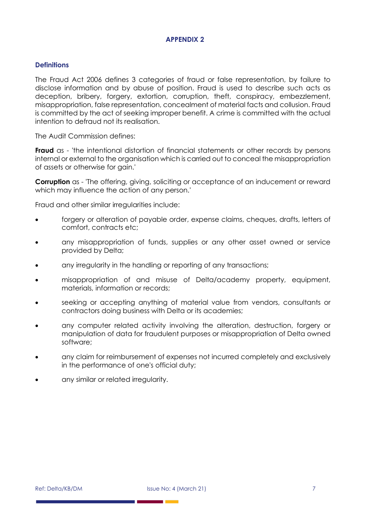#### <span id="page-7-0"></span>**Definitions**

The Fraud Act 2006 defines 3 categories of fraud or false representation, by failure to disclose information and by abuse of position. Fraud is used to describe such acts as deception, bribery, forgery, extortion, corruption, theft, conspiracy, embezzlement, misappropriation, false representation, concealment of material facts and collusion. Fraud is committed by the act of seeking improper benefit. A crime is committed with the actual intention to defraud not its realisation.

The Audit Commission defines:

**Fraud** as - 'the intentional distortion of financial statements or other records by persons internal or external to the organisation which is carried out to conceal the misappropriation of assets or otherwise for gain.'

**Corruption** as - 'The offering, giving, soliciting or acceptance of an inducement or reward which may influence the action of any person.'

Fraud and other similar irregularities include:

- forgery or alteration of payable order, expense claims, cheques, drafts, letters of comfort, contracts etc;
- any misappropriation of funds, supplies or any other asset owned or service provided by Delta;
- any irregularity in the handling or reporting of any transactions;
- misappropriation of and misuse of Delta/academy property, equipment, materials, information or records;
- seeking or accepting anything of material value from vendors, consultants or contractors doing business with Delta or its academies;
- any computer related activity involving the alteration, destruction, forgery or manipulation of data for fraudulent purposes or misappropriation of Delta owned software;
- any claim for reimbursement of expenses not incurred completely and exclusively in the performance of one's official duty;
- any similar or related irregularity.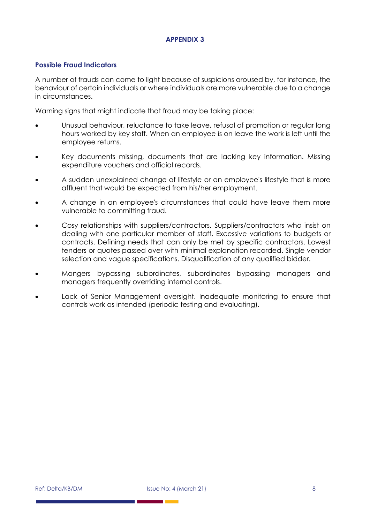# <span id="page-8-0"></span>**Possible Fraud Indicators**

A number of frauds can come to light because of suspicions aroused by, for instance, the behaviour of certain individuals or where individuals are more vulnerable due to a change in circumstances.

Warning signs that might indicate that fraud may be taking place:

- Unusual behaviour, reluctance to take leave, refusal of promotion or regular long hours worked by key staff. When an employee is on leave the work is left until the employee returns.
- Key documents missing, documents that are lacking key information. Missing expenditure vouchers and official records.
- A sudden unexplained change of lifestyle or an employee's lifestyle that is more affluent that would be expected from his/her employment.
- A change in an employee's circumstances that could have leave them more vulnerable to committing fraud.
- Cosy relationships with suppliers/contractors. Suppliers/contractors who insist on dealing with one particular member of staff. Excessive variations to budgets or contracts. Defining needs that can only be met by specific contractors. Lowest tenders or quotes passed over with minimal explanation recorded. Single vendor selection and vague specifications. Disqualification of any qualified bidder.
- Mangers bypassing subordinates, subordinates bypassing managers and managers frequently overriding internal controls.
- Lack of Senior Management oversight. Inadequate monitoring to ensure that controls work as intended (periodic testing and evaluating).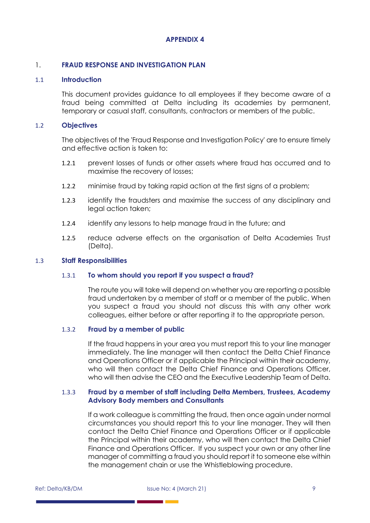# <span id="page-9-0"></span>1. **FRAUD RESPONSE AND INVESTIGATION PLAN**

# 1.1 **Introduction**

This document provides guidance to all employees if they become aware of a fraud being committed at Delta including its academies by permanent, temporary or casual staff, consultants, contractors or members of the public.

#### 1.2 **Objectives**

The objectives of the 'Fraud Response and Investigation Policy' are to ensure timely and effective action is taken to:

- 1.2.1 prevent losses of funds or other assets where fraud has occurred and to maximise the recovery of losses;
- 1.2.2 minimise fraud by taking rapid action at the first signs of a problem;
- 1.2.3 identify the fraudsters and maximise the success of any disciplinary and legal action taken;
- 1.2.4 identify any lessons to help manage fraud in the future; and
- 1.2.5 reduce adverse effects on the organisation of Delta Academies Trust (Delta).

#### 1.3 **Staff Responsibilities**

#### 1.3.1 **To whom should you report if you suspect a fraud?**

The route you will take will depend on whether you are reporting a possible fraud undertaken by a member of staff or a member of the public. When you suspect a fraud you should not discuss this with any other work colleagues, either before or after reporting it to the appropriate person.

#### 1.3.2 **Fraud by a member of public**

If the fraud happens in your area you must report this to your line manager immediately. The line manager will then contact the Delta Chief Finance and Operations Officer or if applicable the Principal within their academy, who will then contact the Delta Chief Finance and Operations Officer, who will then advise the CEO and the Executive Leadership Team of Delta.

### 1.3.3 **Fraud by a member of staff including Delta Members, Trustees, Academy Advisory Body members and Consultants**

If a work colleague is committing the fraud, then once again under normal circumstances you should report this to your line manager. They will then contact the Delta Chief Finance and Operations Officer or if applicable the Principal within their academy, who will then contact the Delta Chief Finance and Operations Officer. If you suspect your own or any other line manager of committing a fraud you should report it to someone else within the management chain or use the Whistleblowing procedure.

a ka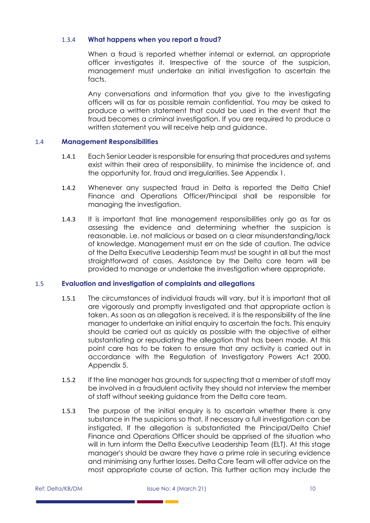# 1.3.4 **What happens when you report a fraud?**

When a fraud is reported whether internal or external, an appropriate officer investigates it. Irrespective of the source of the suspicion, management must undertake an initial investigation to ascertain the facts.

Any conversations and information that you give to the investigating officers will as far as possible remain confidential. You may be asked to produce a written statement that could be used in the event that the fraud becomes a criminal investigation. If you are required to produce a written statement you will receive help and guidance.

### 1.4 **Management Responsibilities**

- 1.4.1 Each Senior Leader is responsible for ensuring that procedures and systems exist within their area of responsibility, to minimise the incidence of, and the opportunity for, fraud and irregularities. See Appendix 1.
- 1.4.2 Whenever any suspected fraud in Delta is reported the Delta Chief Finance and Operations Officer/Principal shall be responsible for managing the investigation.
- 1.4.3 It is important that line management responsibilities only go as far as assessing the evidence and determining whether the suspicion is reasonable, i.e. not malicious or based on a clear misunderstanding/lack of knowledge. Management must err on the side of caution. The advice of the Delta Executive Leadership Team must be sought in all but the most straightforward of cases. Assistance by the Delta core team will be provided to manage or undertake the investigation where appropriate.

# 1.5 **Evaluation and investigation of complaints and allegations**

- 1.5.1 The circumstances of individual frauds will vary, but it is important that all are vigorously and promptly investigated and that appropriate action is taken. As soon as an allegation is received, it is the responsibility of the line manager to undertake an initial enquiry to ascertain the facts. This enquiry should be carried out as quickly as possible with the objective of either substantiating or repudiating the allegation that has been made. At this point care has to be taken to ensure that any activity is carried out in accordance with the Regulation of Investigatory Powers Act 2000. Appendix 5.
- 1.5.2 If the line manager has grounds for suspecting that a member of staff may be involved in a fraudulent activity they should not interview the member of staff without seeking guidance from the Delta core team.
- 1.5.3 The purpose of the initial enquiry is to ascertain whether there is any substance in the suspicions so that, if necessary a full investigation can be instigated. If the allegation is substantiated the Principal/Delta Chief Finance and Operations Officer should be apprised of the situation who will in turn inform the Delta Executive Leadership Team (ELT). At this stage manager's should be aware they have a prime role in securing evidence and minimising any further losses. Delta Core Team will offer advice on the most appropriate course of action. This further action may include the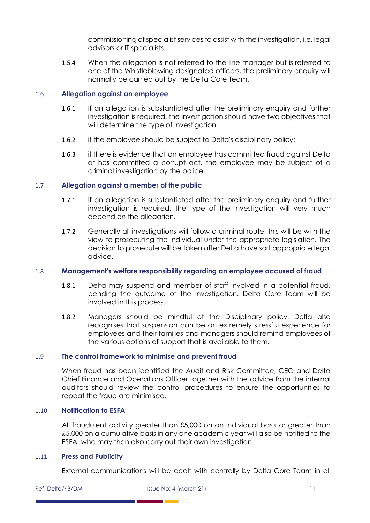commissioning of specialist services to assist with the investigation, i.e. legal advisors or IT specialists.

1.5.4 When the allegation is not referred to the line manager but is referred to one of the Whistleblowing designated officers, the preliminary enquiry will normally be carried out by the Delta Core Team.

# 1.6 **Allegation against an employee**

- 1.6.1 If an allegation is substantiated after the preliminary enquiry and further investigation is required, the investigation should have two objectives that will determine the type of investigation:
- 1.6.2 if the employee should be subject to Delta's disciplinary policy;
- 1.6.3 if there is evidence that an employee has committed fraud against Delta or has committed a corrupt act, the employee may be subject of a criminal investigation by the police.

### 1.7 **Allegation against a member of the public**

- 1.7.1 If an allegation is substantiated after the preliminary enquiry and further investigation is required, the type of the investigation will very much depend on the allegation.
- 1.7.2 Generally all investigations will follow a criminal route; this will be with the view to prosecuting the individual under the appropriate legislation. The decision to prosecute will be taken after Delta have sort appropriate legal advice.

#### 1.8 **Management's welfare responsibility regarding an employee accused of fraud**

- 1.8.1 Delta may suspend and member of staff involved in a potential fraud, pending the outcome of the investigation. Delta Core Team will be involved in this process.
- 1.8.2 Managers should be mindful of the Disciplinary policy. Delta also recognises that suspension can be an extremely stressful experience for employees and their families and managers should remind employees of the various options of support that is available to them.

#### 1.9 **The control framework to minimise and prevent fraud**

a ka

When fraud has been identified the Audit and Risk Committee, CEO and Delta Chief Finance and Operations Officer together with the advice from the internal auditors should review the control procedures to ensure the opportunities to repeat the fraud are minimised.

#### 1.10 **Notification to ESFA**

All fraudulent activity greater than £5,000 on an individual basis or greater than £5,000 on a cumulative basis in any one academic year will also be notified to the ESFA, who may then also carry out their own investigation.

#### 1.11 **Press and Publicity**

External communications will be dealt with centrally by Delta Core Team in all

Ref: Delta/KB/DM Issue No: 4 (March 21) 11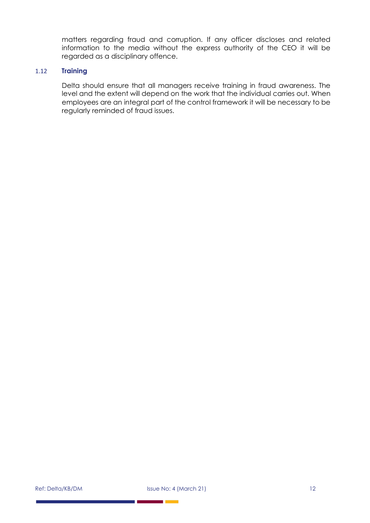matters regarding fraud and corruption. If any officer discloses and related information to the media without the express authority of the CEO it will be regarded as a disciplinary offence.

# 1.12 **Training**

Delta should ensure that all managers receive training in fraud awareness. The level and the extent will depend on the work that the individual carries out. When employees are an integral part of the control framework it will be necessary to be regularly reminded of fraud issues.

**College**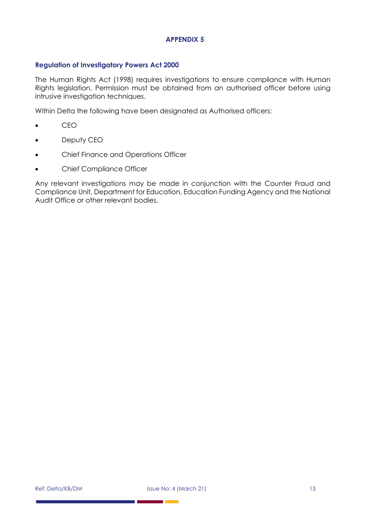# <span id="page-13-0"></span>**Regulation of Investigatory Powers Act 2000**

The Human Rights Act (1998) requires investigations to ensure compliance with Human Rights legislation. Permission must be obtained from an authorised officer before using intrusive investigation techniques.

Within Delta the following have been designated as Authorised officers:

- CEO
- Deputy CEO
- Chief Finance and Operations Officer
- Chief Compliance Officer

Any relevant investigations may be made in conjunction with the Counter Fraud and Compliance Unit, Department for Education, Education Funding Agency and the National Audit Office or other relevant bodies.

a pr